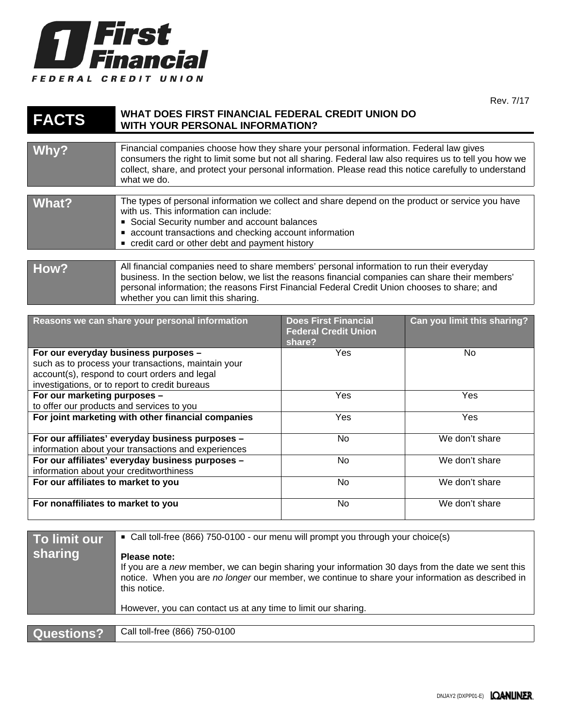

Rev. 7/17

## **FACTS WHAT DOES FIRST FINANCIAL FEDERAL CREDIT UNION DO WITH YOUR PERSONAL INFORMATION?**

| Why?  | Financial companies choose how they share your personal information. Federal law gives<br>consumers the right to limit some but not all sharing. Federal law also requires us to tell you how we<br>collect, share, and protect your personal information. Please read this notice carefully to understand<br>what we do.            |
|-------|--------------------------------------------------------------------------------------------------------------------------------------------------------------------------------------------------------------------------------------------------------------------------------------------------------------------------------------|
| What? | The types of personal information we collect and share depend on the product or service you have<br>with us. This information can include:<br>Social Security number and account balances<br>• account transactions and checking account information<br>• credit card or other debt and payment history                              |
| How?  | All financial companies need to share members' personal information to run their everyday<br>business. In the section below, we list the reasons financial companies can share their members'<br>personal information; the reasons First Financial Federal Credit Union chooses to share; and<br>whether you can limit this sharing. |

| Reasons we can share your personal information                                                                                                                                                 | <b>Does First Financial</b><br><b>Federal Credit Union</b><br>share? | Can you limit this sharing? |
|------------------------------------------------------------------------------------------------------------------------------------------------------------------------------------------------|----------------------------------------------------------------------|-----------------------------|
| For our everyday business purposes -<br>such as to process your transactions, maintain your<br>account(s), respond to court orders and legal<br>investigations, or to report to credit bureaus | <b>Yes</b>                                                           | No.                         |
| For our marketing purposes -<br>to offer our products and services to you                                                                                                                      | Yes                                                                  | <b>Yes</b>                  |
| For joint marketing with other financial companies                                                                                                                                             | <b>Yes</b>                                                           | <b>Yes</b>                  |
| For our affiliates' everyday business purposes -<br>information about your transactions and experiences                                                                                        | N <sub>o</sub>                                                       | We don't share              |
| For our affiliates' everyday business purposes -<br>information about your creditworthiness                                                                                                    | No                                                                   | We don't share              |
| For our affiliates to market to you                                                                                                                                                            | No                                                                   | We don't share              |
| For nonaffiliates to market to you                                                                                                                                                             | No                                                                   | We don't share              |

| To limit our<br>sharing | ■ Call toll-free (866) 750-0100 - our menu will prompt you through your choice(s)<br>Please note:<br>If you are a new member, we can begin sharing your information 30 days from the date we sent this<br>notice. When you are no longer our member, we continue to share your information as described in<br>this notice. |
|-------------------------|----------------------------------------------------------------------------------------------------------------------------------------------------------------------------------------------------------------------------------------------------------------------------------------------------------------------------|
|                         | However, you can contact us at any time to limit our sharing.                                                                                                                                                                                                                                                              |
|                         |                                                                                                                                                                                                                                                                                                                            |
| Questions?              | Call toll-free (866) 750-0100                                                                                                                                                                                                                                                                                              |